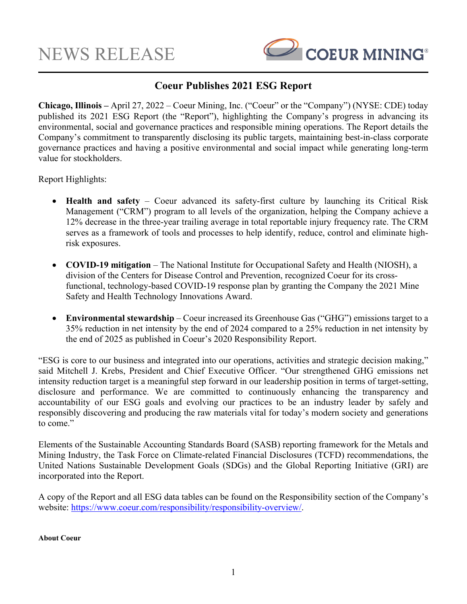

## **Coeur Publishes 2021 ESG Report**

**Chicago, Illinois –** April 27, 2022 – Coeur Mining, Inc. ("Coeur" or the "Company") (NYSE: CDE) today published its 2021 ESG Report (the "Report"), highlighting the Company's progress in advancing its environmental, social and governance practices and responsible mining operations. The Report details the Company's commitment to transparently disclosing its public targets, maintaining best-in-class corporate governance practices and having a positive environmental and social impact while generating long-term value for stockholders.

Report Highlights:

- **Health and safety** Coeur advanced its safety-first culture by launching its Critical Risk Management ("CRM") program to all levels of the organization, helping the Company achieve a 12% decrease in the three-year trailing average in total reportable injury frequency rate. The CRM serves as a framework of tools and processes to help identify, reduce, control and eliminate highrisk exposures.
- **COVID-19 mitigation** The National Institute for Occupational Safety and Health (NIOSH), a division of the Centers for Disease Control and Prevention, recognized Coeur for its crossfunctional, technology-based COVID-19 response plan by granting the Company the 2021 Mine Safety and Health Technology Innovations Award.
- **Environmental stewardship** Coeur increased its Greenhouse Gas ("GHG") emissions target to a 35% reduction in net intensity by the end of 2024 compared to a 25% reduction in net intensity by the end of 2025 as published in Coeur's 2020 Responsibility Report.

"ESG is core to our business and integrated into our operations, activities and strategic decision making," said Mitchell J. Krebs, President and Chief Executive Officer. "Our strengthened GHG emissions net intensity reduction target is a meaningful step forward in our leadership position in terms of target-setting, disclosure and performance. We are committed to continuously enhancing the transparency and accountability of our ESG goals and evolving our practices to be an industry leader by safely and responsibly discovering and producing the raw materials vital for today's modern society and generations to come."

Elements of the Sustainable Accounting Standards Board (SASB) reporting framework for the Metals and Mining Industry, the Task Force on Climate-related Financial Disclosures (TCFD) recommendations, the United Nations Sustainable Development Goals (SDGs) and the Global Reporting Initiative (GRI) are incorporated into the Report.

A copy of the Report and all ESG data tables can be found on the Responsibility section of the Company's website: https://www.coeur.com/responsibility/responsibility-overview/.

### **About Coeur**